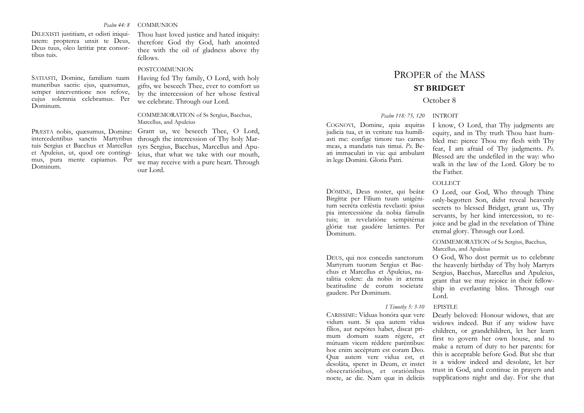*Psalm 44: 8* COMMUNION

DILEXISTI justitiam, et odisti iniquitatem: propterea unxit te Deus, Deus tuus, oleo lætitiæ præ consortibus tuis.

SATIASTI, Domine, familiam tuam muneribus sacris: ejus, quæsumus, semper interventione nos refove, cujus solemnia celebramus. Per Dominum.

intercedentibus sanctis Martyribus tuis Sergius et Bacchus et Marcellus et Apuleius, ut, quod ore contingimus, pura mente capiamus. Per Dominum.

Thou hast loved justice and hated iniquity: therefore God thy God, hath anointed thee with the oil of gladness above thy fellows.

### POSTCOMMUNION

Having fed Thy family, O Lord, with holy gifts, we beseech Thee, ever to comfort us by the intercession of her whose festival we celebrate. Through our Lord.

### COMMEMORATION of Ss Sergius, Bacchus, Marcellus, and Apuleius

PRÆSTA nobis, quæsumus, Domine: Grant us, we beseech Thee, O Lord, through the intercession of Thy holy Martyrs Sergius, Bacchus, Marcellus and Apuleius, that what we take with our mouth, we may receive with a pure heart. Through our Lord.

# PROPER of the MASS **ST BRIDGET**

# October 8

#### *Psalm 118: 75, 120* INTROIT

COGNOVI, Domine, quia æquitas judicia tua, et in veritate tua humiliasti me: confige timore tuo carnes meas, a mandatis tuis timui. *Ps.* Beati immaculati in via: qui ambulant in lege Domini. Gloria Patri.

DÓMINE, Deus noster, qui beátæ Birgíttæ per Fílium tuum unigénitum secréta cœléstia revclasti: ipsius pia intercessióne da nobia fámulis tuis; in revelatióne sempitérnæ glóriæ tuæ gaudére lætántes. Per Dominum.

DEUS, qui nos concedis sanctorum Martyrum tuorum Sergius et Bacchus et Marcellus et Apuleius, natalitia colere: da nobis in æterna beatitudine de eorum societate gaudere. Per Dominum.

# *I Timothy 5: 3-10* EPISTLE

CARISSIME: Víduas honóra quæ vere vidum sunt. Si qua autem vídua fílios, aut nepótes habet, discat primum domum suam régere, et mútuam vicem réddere paréntibus: hoc enim accéptum est coram Deo. Quæ autem vere vidua est, et desoláta, speret in Deum, et instet obsecratiónibus, et oratiónibus nocte, ac die. Nam quæ in delíciis

I know, O Lord, that Thy judgments are equity, and in Thy truth Thou hast humbled me: pierce Thou my flesh with Thy fear, I am afraid of Thy judgments. *Ps*. Blessed are the undefiled in the way: who walk in the law of the Lord. Glory be to the Father.

### COLLECT.

O Lord, our God, Who through Thine only-begotten Son, didst reveal heavenly secrets to blessed Bridget, grant us, Thy servants, by her kind intercession, to rejoice and be glad in the revelation of Thine eternal glory. Through our Lord.

COMMEMORATION of Ss Sergius, Bacchus, Marcellus, and Apuleius

O God, Who dost permit us to celebrate the heavenly birthday of Thy holy Martyrs Sergius, Bacchus, Marcellus and Apuleius, grant that we may rejoice in their fellowship in everlasting bliss. Through our Lord.

Dearly beloved: Honour widows, that are widows indeed. But if any widow have children, or grandchildren, let her learn first to govern her own house, and to make a return of duty to her parents: for this is acceptable before God. But she that is a widow indeed and desolate, let her trust in God, and continue in prayers and supplications night and day. For she that